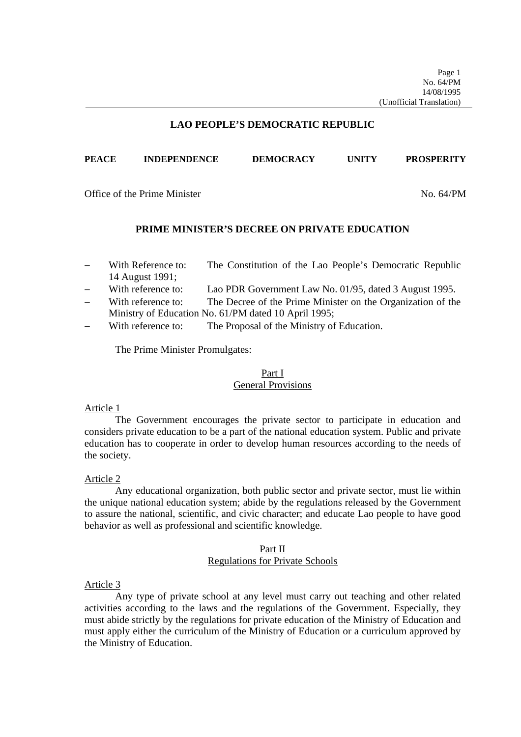## **LAO PEOPLE'S DEMOCRATIC REPUBLIC**

## **PEACE INDEPENDENCE DEMOCRACY UNITY PROSPERITY**

Office of the Prime Minister No. 64/PM

## **PRIME MINISTER'S DECREE ON PRIVATE EDUCATION**

- With Reference to: The Constitution of the Lao People's Democratic Republic 14 August 1991;
- With reference to: Lao PDR Government Law No. 01/95, dated 3 August 1995.
- With reference to: The Decree of the Prime Minister on the Organization of the Ministry of Education No. 61/PM dated 10 April 1995;
- With reference to: The Proposal of the Ministry of Education.

The Prime Minister Promulgates:

## Part I General Provisions

## Article 1

The Government encourages the private sector to participate in education and considers private education to be a part of the national education system. Public and private education has to cooperate in order to develop human resources according to the needs of the society.

## Article 2

Any educational organization, both public sector and private sector, must lie within the unique national education system; abide by the regulations released by the Government to assure the national, scientific, and civic character; and educate Lao people to have good behavior as well as professional and scientific knowledge.

# Part II Regulations for Private Schools

## Article 3

Any type of private school at any level must carry out teaching and other related activities according to the laws and the regulations of the Government. Especially, they must abide strictly by the regulations for private education of the Ministry of Education and must apply either the curriculum of the Ministry of Education or a curriculum approved by the Ministry of Education.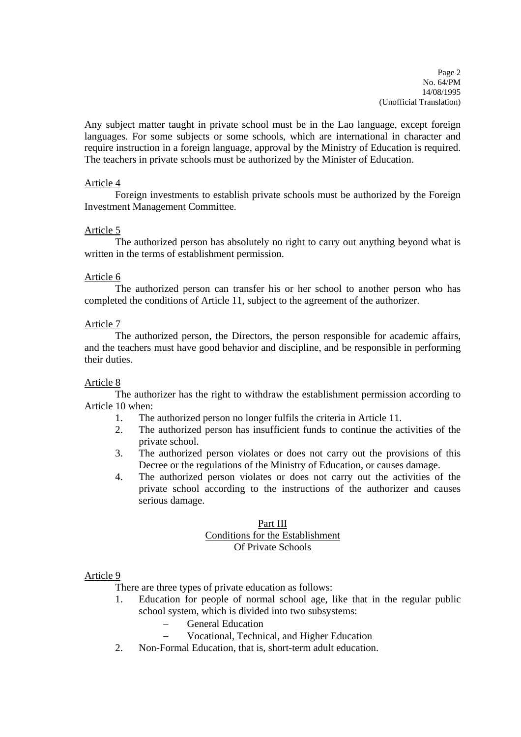Page 2 No. 64/PM 14/08/1995 (Unofficial Translation)

Any subject matter taught in private school must be in the Lao language, except foreign languages. For some subjects or some schools, which are international in character and require instruction in a foreign language, approval by the Ministry of Education is required. The teachers in private schools must be authorized by the Minister of Education.

# Article 4

Foreign investments to establish private schools must be authorized by the Foreign Investment Management Committee.

## Article 5

The authorized person has absolutely no right to carry out anything beyond what is written in the terms of establishment permission.

## Article 6

The authorized person can transfer his or her school to another person who has completed the conditions of Article 11, subject to the agreement of the authorizer.

## Article 7

The authorized person, the Directors, the person responsible for academic affairs, and the teachers must have good behavior and discipline, and be responsible in performing their duties.

## Article 8

The authorizer has the right to withdraw the establishment permission according to Article 10 when:

- 1. The authorized person no longer fulfils the criteria in Article 11.
- 2. The authorized person has insufficient funds to continue the activities of the private school.
- 3. The authorized person violates or does not carry out the provisions of this Decree or the regulations of the Ministry of Education, or causes damage.
- 4. The authorized person violates or does not carry out the activities of the private school according to the instructions of the authorizer and causes serious damage.

# Part III Conditions for the Establishment Of Private Schools

## Article 9

There are three types of private education as follows:

- 1. Education for people of normal school age, like that in the regular public school system, which is divided into two subsystems:
	- General Education
	- Vocational, Technical, and Higher Education
- 2. Non-Formal Education, that is, short-term adult education.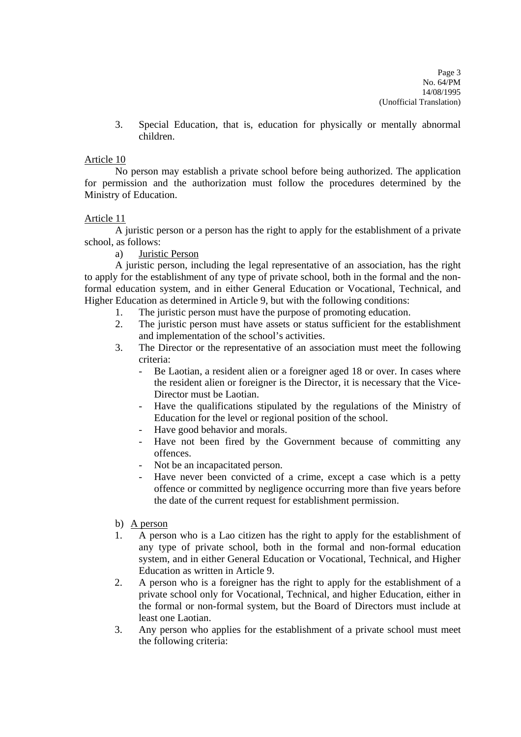3. Special Education, that is, education for physically or mentally abnormal children.

# Article 10

No person may establish a private school before being authorized. The application for permission and the authorization must follow the procedures determined by the Ministry of Education.

# Article 11

A juristic person or a person has the right to apply for the establishment of a private school, as follows:

a) Juristic Person

A juristic person, including the legal representative of an association, has the right to apply for the establishment of any type of private school, both in the formal and the nonformal education system, and in either General Education or Vocational, Technical, and Higher Education as determined in Article 9, but with the following conditions:

- 1. The juristic person must have the purpose of promoting education.
- 2. The juristic person must have assets or status sufficient for the establishment and implementation of the school's activities.
- 3. The Director or the representative of an association must meet the following criteria:
	- Be Laotian, a resident alien or a foreigner aged 18 or over. In cases where the resident alien or foreigner is the Director, it is necessary that the Vice-Director must be Laotian.
	- Have the qualifications stipulated by the regulations of the Ministry of Education for the level or regional position of the school.
	- Have good behavior and morals.
	- Have not been fired by the Government because of committing any offences.
	- Not be an incapacitated person.
	- Have never been convicted of a crime, except a case which is a petty offence or committed by negligence occurring more than five years before the date of the current request for establishment permission.
- b) A person
- 1. A person who is a Lao citizen has the right to apply for the establishment of any type of private school, both in the formal and non-formal education system, and in either General Education or Vocational, Technical, and Higher Education as written in Article 9.
- 2. A person who is a foreigner has the right to apply for the establishment of a private school only for Vocational, Technical, and higher Education, either in the formal or non-formal system, but the Board of Directors must include at least one Laotian.
- 3. Any person who applies for the establishment of a private school must meet the following criteria: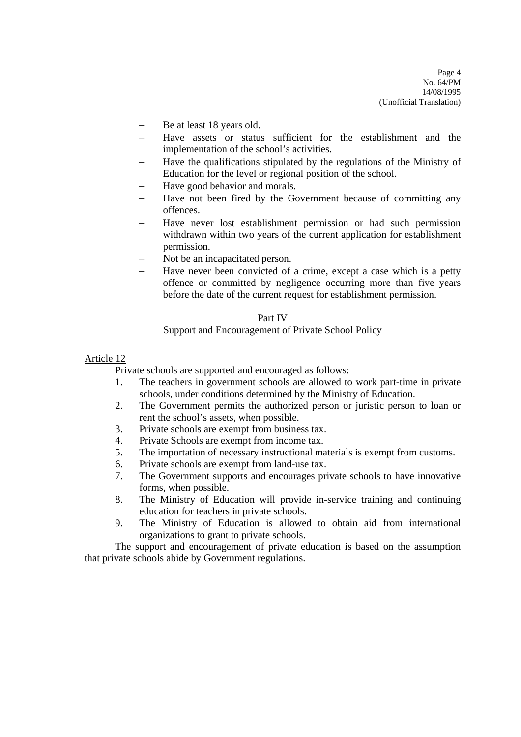- Be at least 18 years old.
- Have assets or status sufficient for the establishment and the implementation of the school's activities.
- Have the qualifications stipulated by the regulations of the Ministry of Education for the level or regional position of the school.
- Have good behavior and morals.
- Have not been fired by the Government because of committing any offences.
- Have never lost establishment permission or had such permission withdrawn within two years of the current application for establishment permission.
- Not be an incapacitated person.
- Have never been convicted of a crime, except a case which is a petty offence or committed by negligence occurring more than five years before the date of the current request for establishment permission.

#### Part IV

## Support and Encouragement of Private School Policy

## Article 12

Private schools are supported and encouraged as follows:

- 1. The teachers in government schools are allowed to work part-time in private schools, under conditions determined by the Ministry of Education.
- 2. The Government permits the authorized person or juristic person to loan or rent the school's assets, when possible.
- 3. Private schools are exempt from business tax.
- 4. Private Schools are exempt from income tax.
- 5. The importation of necessary instructional materials is exempt from customs.
- 6. Private schools are exempt from land-use tax.
- 7. The Government supports and encourages private schools to have innovative forms, when possible.
- 8. The Ministry of Education will provide in-service training and continuing education for teachers in private schools.
- 9. The Ministry of Education is allowed to obtain aid from international organizations to grant to private schools.

The support and encouragement of private education is based on the assumption that private schools abide by Government regulations.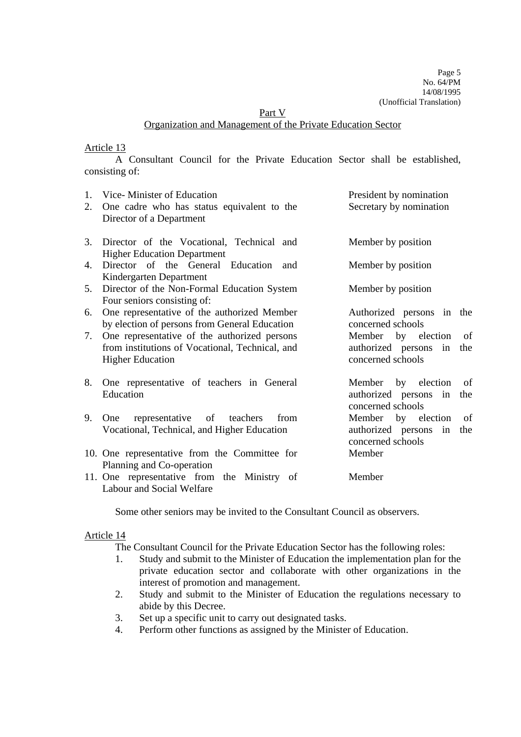Part V

### Organization and Management of the Private Education Sector

## Article 13

A Consultant Council for the Private Education Sector shall be established, consisting of:

| 1.<br>2. | Vice-Minister of Education<br>One cadre who has status equivalent to the<br>Director of a Department                       | President by nomination<br>Secretary by nomination                            |
|----------|----------------------------------------------------------------------------------------------------------------------------|-------------------------------------------------------------------------------|
| 3.       | Director of the Vocational, Technical and<br><b>Higher Education Department</b>                                            | Member by position                                                            |
| 4.       | Director of the General Education and<br>Kindergarten Department                                                           | Member by position                                                            |
| 5.       | Director of the Non-Formal Education System<br>Four seniors consisting of:                                                 | Member by position                                                            |
| 6.       | One representative of the authorized Member<br>by election of persons from General Education                               | Authorized persons in the<br>concerned schools                                |
| 7.       | One representative of the authorized persons<br>from institutions of Vocational, Technical, and<br><b>Higher Education</b> | Member by election<br>of<br>authorized persons in<br>the<br>concerned schools |
| 8.       | One representative of teachers in General<br>Education                                                                     | Member by election<br>of<br>authorized persons in<br>the<br>concerned schools |
| 9.       | representative of teachers<br>One<br>from<br>Vocational, Technical, and Higher Education                                   | Member by election<br>of<br>authorized persons in<br>the<br>concerned schools |
|          | 10. One representative from the Committee for<br>Planning and Co-operation                                                 | Member                                                                        |
|          | 11. One representative from the Ministry of<br>Labour and Social Welfare                                                   | Member                                                                        |

Some other seniors may be invited to the Consultant Council as observers.

# Article 14

The Consultant Council for the Private Education Sector has the following roles:

- 1. Study and submit to the Minister of Education the implementation plan for the private education sector and collaborate with other organizations in the interest of promotion and management.
- 2. Study and submit to the Minister of Education the regulations necessary to abide by this Decree.
- 3. Set up a specific unit to carry out designated tasks.
- 4. Perform other functions as assigned by the Minister of Education.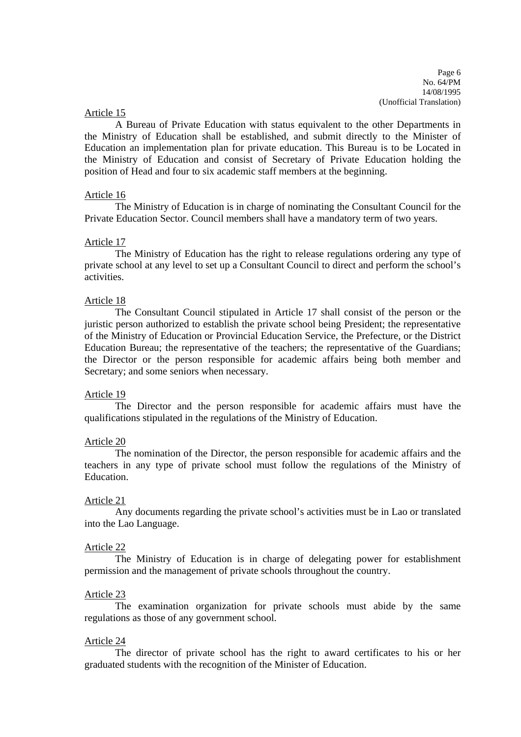Page 6 No. 64/PM 14/08/1995 (Unofficial Translation)

#### Article 15

A Bureau of Private Education with status equivalent to the other Departments in the Ministry of Education shall be established, and submit directly to the Minister of Education an implementation plan for private education. This Bureau is to be Located in the Ministry of Education and consist of Secretary of Private Education holding the position of Head and four to six academic staff members at the beginning.

## Article 16

The Ministry of Education is in charge of nominating the Consultant Council for the Private Education Sector. Council members shall have a mandatory term of two years.

#### Article 17

The Ministry of Education has the right to release regulations ordering any type of private school at any level to set up a Consultant Council to direct and perform the school's activities.

#### Article 18

The Consultant Council stipulated in Article 17 shall consist of the person or the juristic person authorized to establish the private school being President; the representative of the Ministry of Education or Provincial Education Service, the Prefecture, or the District Education Bureau; the representative of the teachers; the representative of the Guardians; the Director or the person responsible for academic affairs being both member and Secretary; and some seniors when necessary.

#### Article 19

The Director and the person responsible for academic affairs must have the qualifications stipulated in the regulations of the Ministry of Education.

#### Article 20

The nomination of the Director, the person responsible for academic affairs and the teachers in any type of private school must follow the regulations of the Ministry of Education.

#### Article 21

Any documents regarding the private school's activities must be in Lao or translated into the Lao Language.

#### Article 22

The Ministry of Education is in charge of delegating power for establishment permission and the management of private schools throughout the country.

#### Article 23

The examination organization for private schools must abide by the same regulations as those of any government school.

#### Article 24

The director of private school has the right to award certificates to his or her graduated students with the recognition of the Minister of Education.